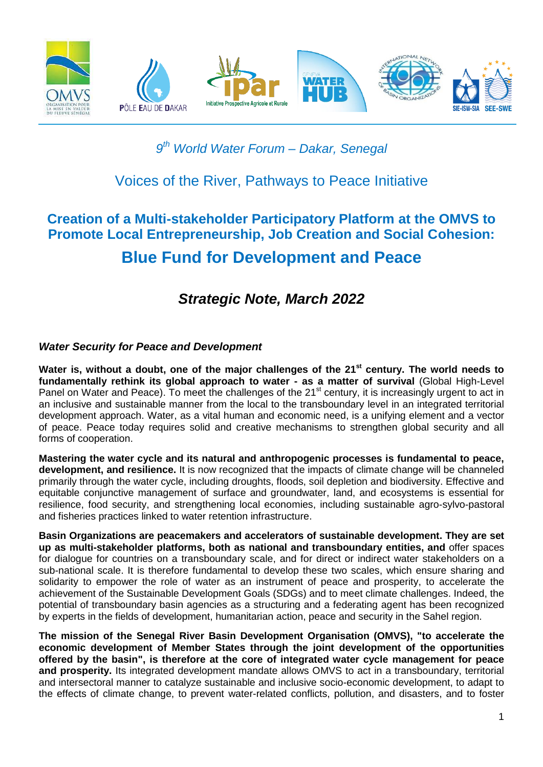

## *9 th World Water Forum – Dakar, Senegal*

## Voices of the River, Pathways to Peace Initiative

# **Creation of a Multi-stakeholder Participatory Platform at the OMVS to Promote Local Entrepreneurship, Job Creation and Social Cohesion: Blue Fund for Development and Peace**

## *Strategic Note, March 2022*

#### *Water Security for Peace and Development*

**Water is, without a doubt, one of the major challenges of the 21st century. The world needs to fundamentally rethink its global approach to water - as a matter of survival** (Global High-Level Panel on Water and Peace). To meet the challenges of the 21<sup>st</sup> century, it is increasingly urgent to act in an inclusive and sustainable manner from the local to the transboundary level in an integrated territorial development approach. Water, as a vital human and economic need, is a unifying element and a vector of peace. Peace today requires solid and creative mechanisms to strengthen global security and all forms of cooperation.

**Mastering the water cycle and its natural and anthropogenic processes is fundamental to peace, development, and resilience.** It is now recognized that the impacts of climate change will be channeled primarily through the water cycle, including droughts, floods, soil depletion and biodiversity. Effective and equitable conjunctive management of surface and groundwater, land, and ecosystems is essential for resilience, food security, and strengthening local economies, including sustainable agro-sylvo-pastoral and fisheries practices linked to water retention infrastructure.

**Basin Organizations are peacemakers and accelerators of sustainable development. They are set up as multi-stakeholder platforms, both as national and transboundary entities, and** offer spaces for dialogue for countries on a transboundary scale, and for direct or indirect water stakeholders on a sub-national scale. It is therefore fundamental to develop these two scales, which ensure sharing and solidarity to empower the role of water as an instrument of peace and prosperity, to accelerate the achievement of the Sustainable Development Goals (SDGs) and to meet climate challenges. Indeed, the potential of transboundary basin agencies as a structuring and a federating agent has been recognized by experts in the fields of development, humanitarian action, peace and security in the Sahel region.

**The mission of the Senegal River Basin Development Organisation (OMVS), "to accelerate the economic development of Member States through the joint development of the opportunities offered by the basin", is therefore at the core of integrated water cycle management for peace and prosperity.** Its integrated development mandate allows OMVS to act in a transboundary, territorial and intersectoral manner to catalyze sustainable and inclusive socio-economic development, to adapt to the effects of climate change, to prevent water-related conflicts, pollution, and disasters, and to foster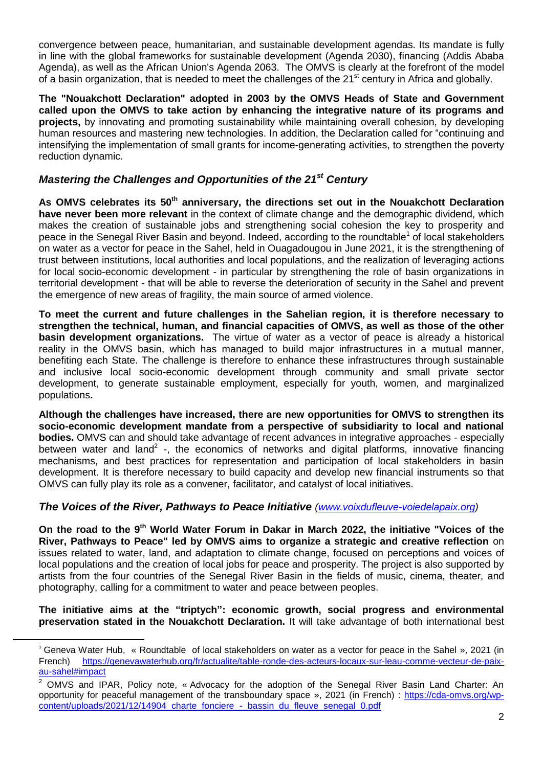convergence between peace, humanitarian, and sustainable development agendas. Its mandate is fully in line with the global frameworks for sustainable development (Agenda 2030), financing (Addis Ababa Agenda), as well as the African Union's Agenda 2063. The OMVS is clearly at the forefront of the model of a basin organization, that is needed to meet the challenges of the 21<sup>st</sup> century in Africa and globally.

**The "Nouakchott Declaration" adopted in 2003 by the OMVS Heads of State and Government called upon the OMVS to take action by enhancing the integrative nature of its programs and projects,** by innovating and promoting sustainability while maintaining overall cohesion, by developing human resources and mastering new technologies. In addition, the Declaration called for "continuing and intensifying the implementation of small grants for income-generating activities, to strengthen the poverty reduction dynamic.

### *Mastering the Challenges and Opportunities of the 21st Century*

**As OMVS celebrates its 50th anniversary, the directions set out in the Nouakchott Declaration have never been more relevant** in the context of climate change and the demographic dividend, which makes the creation of sustainable jobs and strengthening social cohesion the key to prosperity and peace in the Senegal River Basin and beyond. Indeed, according to the roundtable<sup>1</sup> of local stakeholders on water as a vector for peace in the Sahel, held in Ouagadougou in June 2021, it is the strengthening of trust between institutions, local authorities and local populations, and the realization of leveraging actions for local socio-economic development - in particular by strengthening the role of basin organizations in territorial development - that will be able to reverse the deterioration of security in the Sahel and prevent the emergence of new areas of fragility, the main source of armed violence.

**To meet the current and future challenges in the Sahelian region, it is therefore necessary to strengthen the technical, human, and financial capacities of OMVS, as well as those of the other basin development organizations.** The virtue of water as a vector of peace is already a historical reality in the OMVS basin, which has managed to build major infrastructures in a mutual manner, benefiting each State. The challenge is therefore to enhance these infrastructures through sustainable and inclusive local socio-economic development through community and small private sector development, to generate sustainable employment, especially for youth, women, and marginalized populations**.** 

**Although the challenges have increased, there are new opportunities for OMVS to strengthen its socio-economic development mandate from a perspective of subsidiarity to local and national bodies.** OMVS can and should take advantage of recent advances in integrative approaches - especially between water and land<sup>2</sup> -, the economics of networks and digital platforms, innovative financing mechanisms, and best practices for representation and participation of local stakeholders in basin development. It is therefore necessary to build capacity and develop new financial instruments so that OMVS can fully play its role as a convener, facilitator, and catalyst of local initiatives.

#### *The Voices of the River, Pathways to Peace Initiative [\(www.voixdufleuve-voiedelapaix.org\)](http://www.voixdufleuve-voiedelapaix.org/)*

**On the road to the 9th World Water Forum in Dakar in March 2022, the initiative "Voices of the River, Pathways to Peace" led by OMVS aims to organize a strategic and creative reflection** on issues related to water, land, and adaptation to climate change, focused on perceptions and voices of local populations and the creation of local jobs for peace and prosperity. The project is also supported by artists from the four countries of the Senegal River Basin in the fields of music, cinema, theater, and photography, calling for a commitment to water and peace between peoples.

**The initiative aims at the "triptych": economic growth, social progress and environmental preservation stated in the Nouakchott Declaration.** It will take advantage of both international best

 $\overline{a}$ 

<sup>1</sup> Geneva Water Hub, « Roundtable of local stakeholders on water as a vector for peace in the Sahel », 2021 (in French) [https://genevawaterhub.org/fr/actualite/table-ronde-des-acteurs-locaux-sur-leau-comme-vecteur-de-paix](https://genevawaterhub.org/fr/actualite/table-ronde-des-acteurs-locaux-sur-leau-comme-vecteur-de-paix-au-sahel#impact)[au-sahel#impact](https://genevawaterhub.org/fr/actualite/table-ronde-des-acteurs-locaux-sur-leau-comme-vecteur-de-paix-au-sahel#impact)

<sup>&</sup>lt;sup>2</sup> OMVS and IPAR, Policy note, « Advocacy for the adoption of the Senegal River Basin Land Charter: An opportunity for peaceful management of the transboundary space », 2021 (in French) : [https://cda-omvs.org/wp](https://cda-omvs.org/wp-content/uploads/2021/12/14904_charte_fonciere_-_bassin_du_fleuve_senegal_0.pdf)[content/uploads/2021/12/14904\\_charte\\_fonciere\\_-\\_bassin\\_du\\_fleuve\\_senegal\\_0.pdf](https://cda-omvs.org/wp-content/uploads/2021/12/14904_charte_fonciere_-_bassin_du_fleuve_senegal_0.pdf)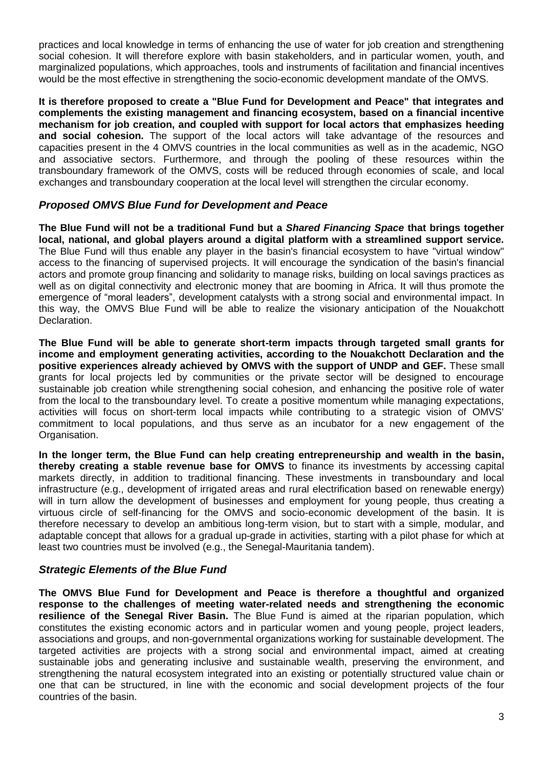practices and local knowledge in terms of enhancing the use of water for job creation and strengthening social cohesion. It will therefore explore with basin stakeholders, and in particular women, youth, and marginalized populations, which approaches, tools and instruments of facilitation and financial incentives would be the most effective in strengthening the socio-economic development mandate of the OMVS.

**It is therefore proposed to create a "Blue Fund for Development and Peace" that integrates and complements the existing management and financing ecosystem, based on a financial incentive mechanism for job creation, and coupled with support for local actors that emphasizes heeding and social cohesion.** The support of the local actors will take advantage of the resources and capacities present in the 4 OMVS countries in the local communities as well as in the academic, NGO and associative sectors. Furthermore, and through the pooling of these resources within the transboundary framework of the OMVS, costs will be reduced through economies of scale, and local exchanges and transboundary cooperation at the local level will strengthen the circular economy.

#### *Proposed OMVS Blue Fund for Development and Peace*

**The Blue Fund will not be a traditional Fund but a** *Shared Financing Space* **that brings together local, national, and global players around a digital platform with a streamlined support service.** The Blue Fund will thus enable any player in the basin's financial ecosystem to have "virtual window" access to the financing of supervised projects. It will encourage the syndication of the basin's financial actors and promote group financing and solidarity to manage risks, building on local savings practices as well as on digital connectivity and electronic money that are booming in Africa. It will thus promote the emergence of "moral leaders", development catalysts with a strong social and environmental impact. In this way, the OMVS Blue Fund will be able to realize the visionary anticipation of the Nouakchott Declaration.

**The Blue Fund will be able to generate short-term impacts through targeted small grants for income and employment generating activities, according to the Nouakchott Declaration and the positive experiences already achieved by OMVS with the support of UNDP and GEF.** These small grants for local projects led by communities or the private sector will be designed to encourage sustainable job creation while strengthening social cohesion, and enhancing the positive role of water from the local to the transboundary level. To create a positive momentum while managing expectations, activities will focus on short-term local impacts while contributing to a strategic vision of OMVS' commitment to local populations, and thus serve as an incubator for a new engagement of the Organisation.

**In the longer term, the Blue Fund can help creating entrepreneurship and wealth in the basin, thereby creating a stable revenue base for OMVS** to finance its investments by accessing capital markets directly, in addition to traditional financing. These investments in transboundary and local infrastructure (e.g., development of irrigated areas and rural electrification based on renewable energy) will in turn allow the development of businesses and employment for young people, thus creating a virtuous circle of self-financing for the OMVS and socio-economic development of the basin. It is therefore necessary to develop an ambitious long-term vision, but to start with a simple, modular, and adaptable concept that allows for a gradual up-grade in activities, starting with a pilot phase for which at least two countries must be involved (e.g., the Senegal-Mauritania tandem).

#### *Strategic Elements of the Blue Fund*

**The OMVS Blue Fund for Development and Peace is therefore a thoughtful and organized response to the challenges of meeting water-related needs and strengthening the economic resilience of the Senegal River Basin.** The Blue Fund is aimed at the riparian population, which constitutes the existing economic actors and in particular women and young people, project leaders, associations and groups, and non-governmental organizations working for sustainable development. The targeted activities are projects with a strong social and environmental impact, aimed at creating sustainable jobs and generating inclusive and sustainable wealth, preserving the environment, and strengthening the natural ecosystem integrated into an existing or potentially structured value chain or one that can be structured, in line with the economic and social development projects of the four countries of the basin.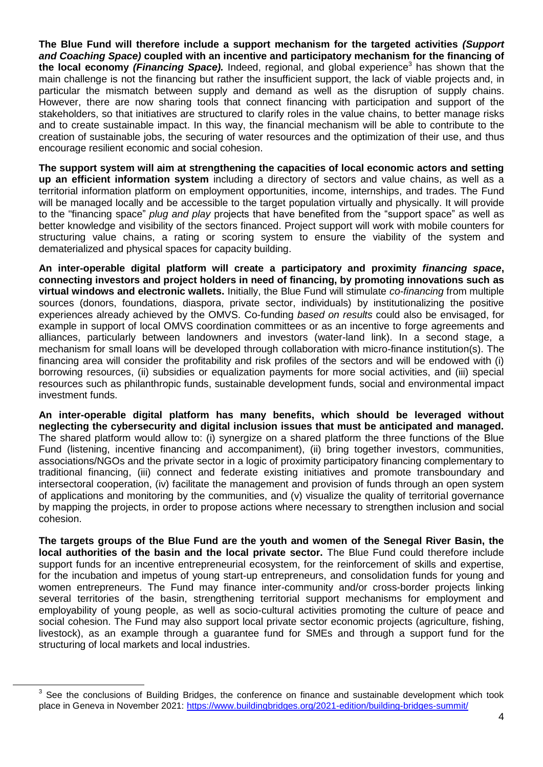**The Blue Fund will therefore include a support mechanism for the targeted activities** *(Support and Coaching Space)* **coupled with an incentive and participatory mechanism for the financing of**  the local economy (Financing Space). Indeed, regional, and global experience<sup>3</sup> has shown that the main challenge is not the financing but rather the insufficient support, the lack of viable projects and, in particular the mismatch between supply and demand as well as the disruption of supply chains. However, there are now sharing tools that connect financing with participation and support of the stakeholders, so that initiatives are structured to clarify roles in the value chains, to better manage risks and to create sustainable impact. In this way, the financial mechanism will be able to contribute to the creation of sustainable jobs, the securing of water resources and the optimization of their use, and thus encourage resilient economic and social cohesion.

**The support system will aim at strengthening the capacities of local economic actors and setting up an efficient information system** including a directory of sectors and value chains, as well as a territorial information platform on employment opportunities, income, internships, and trades. The Fund will be managed locally and be accessible to the target population virtually and physically. It will provide to the "financing space" *plug and play* projects that have benefited from the "support space" as well as better knowledge and visibility of the sectors financed. Project support will work with mobile counters for structuring value chains, a rating or scoring system to ensure the viability of the system and dematerialized and physical spaces for capacity building.

**An inter-operable digital platform will create a participatory and proximity** *financing space***, connecting investors and project holders in need of financing, by promoting innovations such as virtual windows and electronic wallets.** Initially, the Blue Fund will stimulate *co-financing* from multiple sources (donors, foundations, diaspora, private sector, individuals) by institutionalizing the positive experiences already achieved by the OMVS. Co-funding *based on results* could also be envisaged, for example in support of local OMVS coordination committees or as an incentive to forge agreements and alliances, particularly between landowners and investors (water-land link). In a second stage, a mechanism for small loans will be developed through collaboration with micro-finance institution(s). The financing area will consider the profitability and risk profiles of the sectors and will be endowed with (i) borrowing resources, (ii) subsidies or equalization payments for more social activities, and (iii) special resources such as philanthropic funds, sustainable development funds, social and environmental impact investment funds.

**An inter-operable digital platform has many benefits, which should be leveraged without neglecting the cybersecurity and digital inclusion issues that must be anticipated and managed.** The shared platform would allow to: (i) synergize on a shared platform the three functions of the Blue Fund (listening, incentive financing and accompaniment), (ii) bring together investors, communities, associations/NGOs and the private sector in a logic of proximity participatory financing complementary to traditional financing, (iii) connect and federate existing initiatives and promote transboundary and intersectoral cooperation, (iv) facilitate the management and provision of funds through an open system of applications and monitoring by the communities, and (v) visualize the quality of territorial governance by mapping the projects, in order to propose actions where necessary to strengthen inclusion and social cohesion.

**The targets groups of the Blue Fund are the youth and women of the Senegal River Basin, the local authorities of the basin and the local private sector.** The Blue Fund could therefore include support funds for an incentive entrepreneurial ecosystem, for the reinforcement of skills and expertise, for the incubation and impetus of young start-up entrepreneurs, and consolidation funds for young and women entrepreneurs. The Fund may finance inter-community and/or cross-border projects linking several territories of the basin, strengthening territorial support mechanisms for employment and employability of young people, as well as socio-cultural activities promoting the culture of peace and social cohesion. The Fund may also support local private sector economic projects (agriculture, fishing, livestock), as an example through a guarantee fund for SMEs and through a support fund for the structuring of local markets and local industries.

 $\overline{a}$ 

 $3$  See the conclusions of Building Bridges, the conference on finance and sustainable development which took place in Geneva in November 2021: <https://www.buildingbridges.org/2021-edition/building-bridges-summit/>